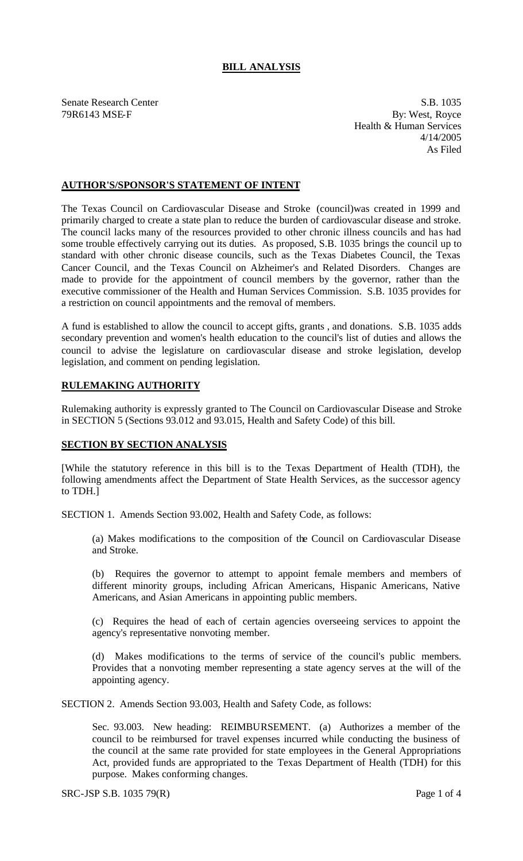## **BILL ANALYSIS**

Senate Research Center S.B. 1035 79R6143 MSE-F By: West, Royce Health & Human Services 4/14/2005 As Filed

## **AUTHOR'S/SPONSOR'S STATEMENT OF INTENT**

The Texas Council on Cardiovascular Disease and Stroke (council)was created in 1999 and primarily charged to create a state plan to reduce the burden of cardiovascular disease and stroke. The council lacks many of the resources provided to other chronic illness councils and has had some trouble effectively carrying out its duties. As proposed, S.B. 1035 brings the council up to standard with other chronic disease councils, such as the Texas Diabetes Council, the Texas Cancer Council, and the Texas Council on Alzheimer's and Related Disorders. Changes are made to provide for the appointment of council members by the governor, rather than the executive commissioner of the Health and Human Services Commission. S.B. 1035 provides for a restriction on council appointments and the removal of members.

A fund is established to allow the council to accept gifts, grants , and donations. S.B. 1035 adds secondary prevention and women's health education to the council's list of duties and allows the council to advise the legislature on cardiovascular disease and stroke legislation, develop legislation, and comment on pending legislation.

## **RULEMAKING AUTHORITY**

Rulemaking authority is expressly granted to The Council on Cardiovascular Disease and Stroke in SECTION 5 (Sections 93.012 and 93.015, Health and Safety Code) of this bill.

## **SECTION BY SECTION ANALYSIS**

[While the statutory reference in this bill is to the Texas Department of Health (TDH), the following amendments affect the Department of State Health Services, as the successor agency to TDH.]

SECTION 1. Amends Section 93.002, Health and Safety Code, as follows:

(a) Makes modifications to the composition of the Council on Cardiovascular Disease and Stroke.

(b) Requires the governor to attempt to appoint female members and members of different minority groups, including African Americans, Hispanic Americans, Native Americans, and Asian Americans in appointing public members.

(c) Requires the head of each of certain agencies overseeing services to appoint the agency's representative nonvoting member.

(d) Makes modifications to the terms of service of the council's public members. Provides that a nonvoting member representing a state agency serves at the will of the appointing agency.

SECTION 2. Amends Section 93.003, Health and Safety Code, as follows:

Sec. 93.003. New heading: REIMBURSEMENT. (a) Authorizes a member of the council to be reimbursed for travel expenses incurred while conducting the business of the council at the same rate provided for state employees in the General Appropriations Act, provided funds are appropriated to the Texas Department of Health (TDH) for this purpose. Makes conforming changes.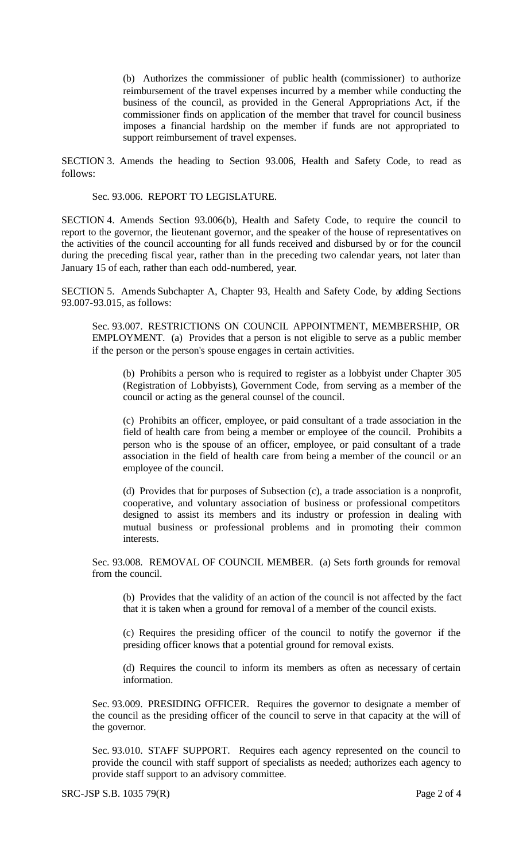(b) Authorizes the commissioner of public health (commissioner) to authorize reimbursement of the travel expenses incurred by a member while conducting the business of the council, as provided in the General Appropriations Act, if the commissioner finds on application of the member that travel for council business imposes a financial hardship on the member if funds are not appropriated to support reimbursement of travel expenses.

SECTION 3. Amends the heading to Section 93.006, Health and Safety Code, to read as follows:

Sec. 93.006. REPORT TO LEGISLATURE.

SECTION 4. Amends Section 93.006(b), Health and Safety Code, to require the council to report to the governor, the lieutenant governor, and the speaker of the house of representatives on the activities of the council accounting for all funds received and disbursed by or for the council during the preceding fiscal year, rather than in the preceding two calendar years, not later than January 15 of each, rather than each odd-numbered, year.

SECTION 5. Amends Subchapter A, Chapter 93, Health and Safety Code, by adding Sections 93.007-93.015, as follows:

Sec. 93.007. RESTRICTIONS ON COUNCIL APPOINTMENT, MEMBERSHIP, OR EMPLOYMENT. (a) Provides that a person is not eligible to serve as a public member if the person or the person's spouse engages in certain activities.

(b) Prohibits a person who is required to register as a lobbyist under Chapter 305 (Registration of Lobbyists), Government Code, from serving as a member of the council or acting as the general counsel of the council.

(c) Prohibits an officer, employee, or paid consultant of a trade association in the field of health care from being a member or employee of the council. Prohibits a person who is the spouse of an officer, employee, or paid consultant of a trade association in the field of health care from being a member of the council or an employee of the council.

(d) Provides that for purposes of Subsection (c), a trade association is a nonprofit, cooperative, and voluntary association of business or professional competitors designed to assist its members and its industry or profession in dealing with mutual business or professional problems and in promoting their common interests.

Sec. 93.008. REMOVAL OF COUNCIL MEMBER. (a) Sets forth grounds for removal from the council.

(b) Provides that the validity of an action of the council is not affected by the fact that it is taken when a ground for removal of a member of the council exists.

(c) Requires the presiding officer of the council to notify the governor if the presiding officer knows that a potential ground for removal exists.

(d) Requires the council to inform its members as often as necessary of certain information.

Sec. 93.009. PRESIDING OFFICER. Requires the governor to designate a member of the council as the presiding officer of the council to serve in that capacity at the will of the governor.

Sec. 93.010. STAFF SUPPORT. Requires each agency represented on the council to provide the council with staff support of specialists as needed; authorizes each agency to provide staff support to an advisory committee.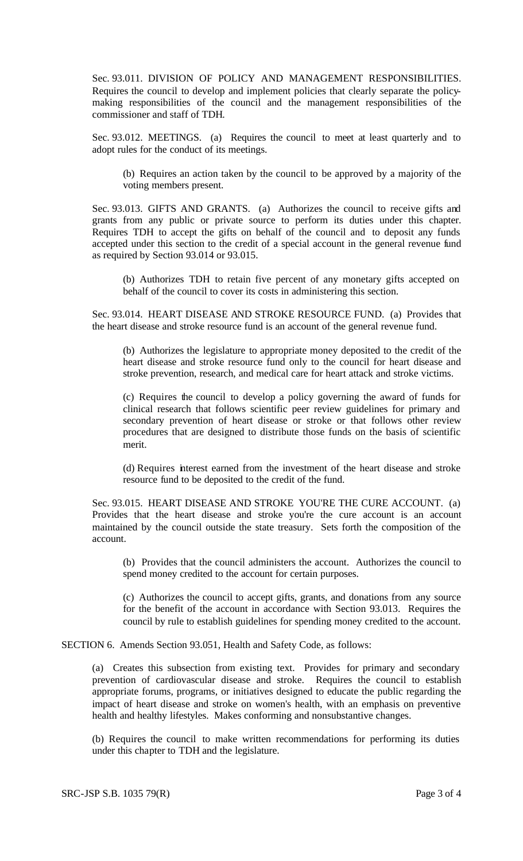Sec. 93.011. DIVISION OF POLICY AND MANAGEMENT RESPONSIBILITIES. Requires the council to develop and implement policies that clearly separate the policymaking responsibilities of the council and the management responsibilities of the commissioner and staff of TDH.

Sec. 93.012. MEETINGS. (a) Requires the council to meet at least quarterly and to adopt rules for the conduct of its meetings.

(b) Requires an action taken by the council to be approved by a majority of the voting members present.

Sec. 93.013. GIFTS AND GRANTS. (a) Authorizes the council to receive gifts and grants from any public or private source to perform its duties under this chapter. Requires TDH to accept the gifts on behalf of the council and to deposit any funds accepted under this section to the credit of a special account in the general revenue fund as required by Section 93.014 or 93.015.

(b) Authorizes TDH to retain five percent of any monetary gifts accepted on behalf of the council to cover its costs in administering this section.

Sec. 93.014. HEART DISEASE AND STROKE RESOURCE FUND. (a) Provides that the heart disease and stroke resource fund is an account of the general revenue fund.

(b) Authorizes the legislature to appropriate money deposited to the credit of the heart disease and stroke resource fund only to the council for heart disease and stroke prevention, research, and medical care for heart attack and stroke victims.

(c) Requires the council to develop a policy governing the award of funds for clinical research that follows scientific peer review guidelines for primary and secondary prevention of heart disease or stroke or that follows other review procedures that are designed to distribute those funds on the basis of scientific merit.

(d) Requires interest earned from the investment of the heart disease and stroke resource fund to be deposited to the credit of the fund.

Sec. 93.015. HEART DISEASE AND STROKE YOU'RE THE CURE ACCOUNT. (a) Provides that the heart disease and stroke you're the cure account is an account maintained by the council outside the state treasury. Sets forth the composition of the account.

(b) Provides that the council administers the account. Authorizes the council to spend money credited to the account for certain purposes.

(c) Authorizes the council to accept gifts, grants, and donations from any source for the benefit of the account in accordance with Section 93.013. Requires the council by rule to establish guidelines for spending money credited to the account.

SECTION 6. Amends Section 93.051, Health and Safety Code, as follows:

(a) Creates this subsection from existing text. Provides for primary and secondary prevention of cardiovascular disease and stroke. Requires the council to establish appropriate forums, programs, or initiatives designed to educate the public regarding the impact of heart disease and stroke on women's health, with an emphasis on preventive health and healthy lifestyles. Makes conforming and nonsubstantive changes.

(b) Requires the council to make written recommendations for performing its duties under this chapter to TDH and the legislature.